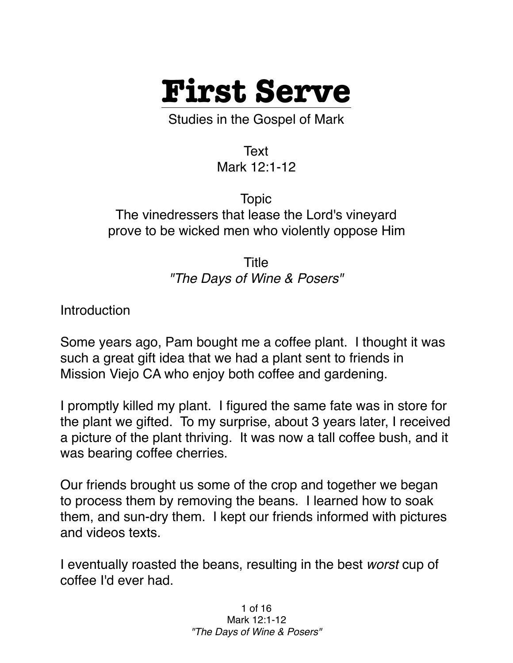

Studies in the Gospel of Mark

Text Mark 12:1-12

Topic The vinedressers that lease the Lord's vineyard prove to be wicked men who violently oppose Him

> Title *"The Days of Wine & Posers"*

**Introduction** 

Some years ago, Pam bought me a coffee plant. I thought it was such a great gift idea that we had a plant sent to friends in Mission Viejo CA who enjoy both coffee and gardening.

I promptly killed my plant. I figured the same fate was in store for the plant we gifted. To my surprise, about 3 years later, I received a picture of the plant thriving. It was now a tall coffee bush, and it was bearing coffee cherries.

Our friends brought us some of the crop and together we began to process them by removing the beans. I learned how to soak them, and sun-dry them. I kept our friends informed with pictures and videos texts.

I eventually roasted the beans, resulting in the best *worst* cup of coffee I'd ever had.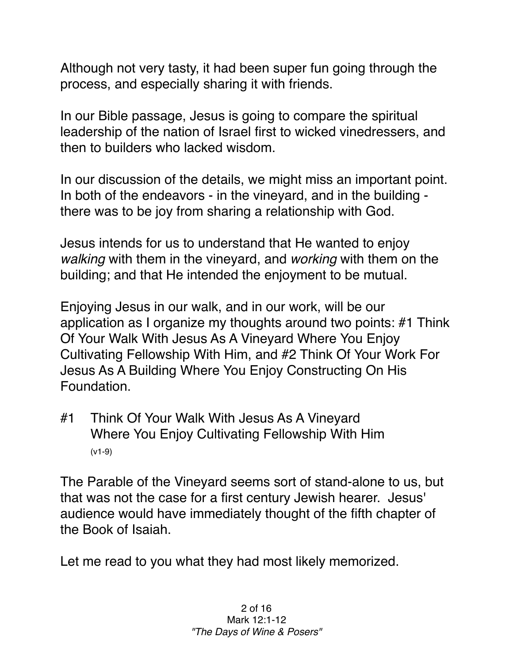Although not very tasty, it had been super fun going through the process, and especially sharing it with friends.

In our Bible passage, Jesus is going to compare the spiritual leadership of the nation of Israel first to wicked vinedressers, and then to builders who lacked wisdom.

In our discussion of the details, we might miss an important point. In both of the endeavors - in the vineyard, and in the building there was to be joy from sharing a relationship with God.

Jesus intends for us to understand that He wanted to enjoy *walking* with them in the vineyard, and *working* with them on the building; and that He intended the enjoyment to be mutual.

Enjoying Jesus in our walk, and in our work, will be our application as I organize my thoughts around two points: #1 Think Of Your Walk With Jesus As A Vineyard Where You Enjoy Cultivating Fellowship With Him, and #2 Think Of Your Work For Jesus As A Building Where You Enjoy Constructing On His Foundation.

#1 Think Of Your Walk With Jesus As A Vineyard Where You Enjoy Cultivating Fellowship With Him (v1-9)

The Parable of the Vineyard seems sort of stand-alone to us, but that was not the case for a first century Jewish hearer. Jesus' audience would have immediately thought of the fifth chapter of the Book of Isaiah.

Let me read to you what they had most likely memorized.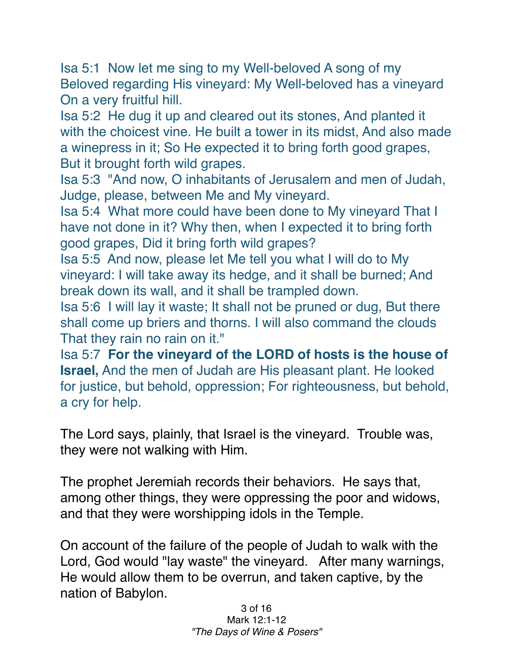Isa 5:1 Now let me sing to my Well-beloved A song of my Beloved regarding His vineyard: My Well-beloved has a vineyard On a very fruitful hill.

Isa 5:2 He dug it up and cleared out its stones, And planted it with the choicest vine. He built a tower in its midst, And also made a winepress in it; So He expected it to bring forth good grapes, But it brought forth wild grapes.

Isa 5:3 "And now, O inhabitants of Jerusalem and men of Judah, Judge, please, between Me and My vineyard.

Isa 5:4 What more could have been done to My vineyard That I have not done in it? Why then, when I expected it to bring forth good grapes, Did it bring forth wild grapes?

Isa 5:5 And now, please let Me tell you what I will do to My vineyard: I will take away its hedge, and it shall be burned; And break down its wall, and it shall be trampled down.

Isa 5:6 I will lay it waste; It shall not be pruned or dug, But there shall come up briers and thorns. I will also command the clouds That they rain no rain on it."

Isa 5:7 **For the vineyard of the LORD of hosts is the house of Israel,** And the men of Judah are His pleasant plant. He looked for justice, but behold, oppression; For righteousness, but behold, a cry for help.

The Lord says, plainly, that Israel is the vineyard. Trouble was, they were not walking with Him.

The prophet Jeremiah records their behaviors. He says that, among other things, they were oppressing the poor and widows, and that they were worshipping idols in the Temple.

On account of the failure of the people of Judah to walk with the Lord, God would "lay waste" the vineyard. After many warnings, He would allow them to be overrun, and taken captive, by the nation of Babylon.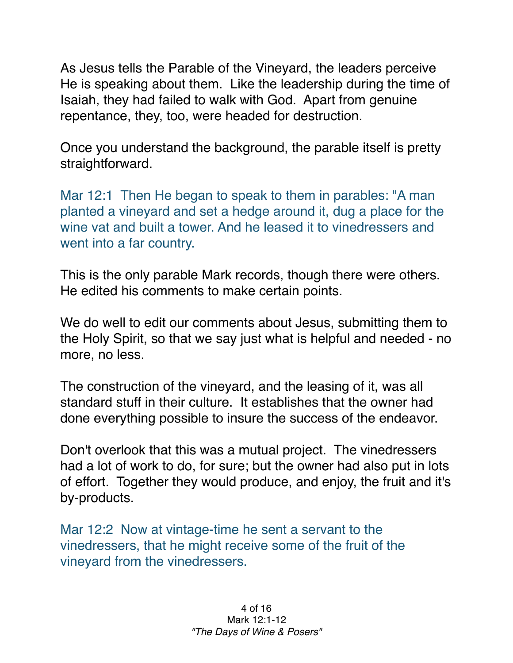As Jesus tells the Parable of the Vineyard, the leaders perceive He is speaking about them. Like the leadership during the time of Isaiah, they had failed to walk with God. Apart from genuine repentance, they, too, were headed for destruction.

Once you understand the background, the parable itself is pretty straightforward.

Mar 12:1 Then He began to speak to them in parables: "A man planted a vineyard and set a hedge around it, dug a place for the wine vat and built a tower. And he leased it to vinedressers and went into a far country.

This is the only parable Mark records, though there were others. He edited his comments to make certain points.

We do well to edit our comments about Jesus, submitting them to the Holy Spirit, so that we say just what is helpful and needed - no more, no less.

The construction of the vineyard, and the leasing of it, was all standard stuff in their culture. It establishes that the owner had done everything possible to insure the success of the endeavor.

Don't overlook that this was a mutual project. The vinedressers had a lot of work to do, for sure; but the owner had also put in lots of effort. Together they would produce, and enjoy, the fruit and it's by-products.

Mar 12:2 Now at vintage-time he sent a servant to the vinedressers, that he might receive some of the fruit of the vineyard from the vinedressers.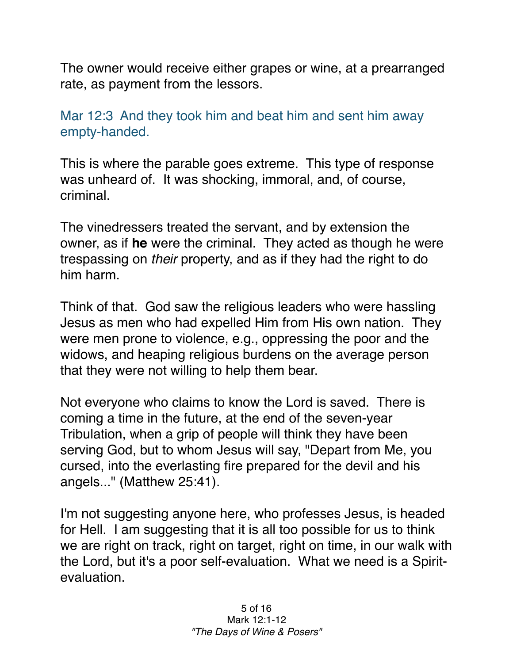The owner would receive either grapes or wine, at a prearranged rate, as payment from the lessors.

Mar 12:3 And they took him and beat him and sent him away empty-handed.

This is where the parable goes extreme. This type of response was unheard of. It was shocking, immoral, and, of course, criminal.

The vinedressers treated the servant, and by extension the owner, as if **he** were the criminal. They acted as though he were trespassing on *their* property, and as if they had the right to do him harm.

Think of that. God saw the religious leaders who were hassling Jesus as men who had expelled Him from His own nation. They were men prone to violence, e.g., oppressing the poor and the widows, and heaping religious burdens on the average person that they were not willing to help them bear.

Not everyone who claims to know the Lord is saved. There is coming a time in the future, at the end of the seven-year Tribulation, when a grip of people will think they have been serving God, but to whom Jesus will say, "Depart from Me, you cursed, into the everlasting fire prepared for the devil and his angels..." (Matthew 25:41).

I'm not suggesting anyone here, who professes Jesus, is headed for Hell. I am suggesting that it is all too possible for us to think we are right on track, right on target, right on time, in our walk with the Lord, but it's a poor self-evaluation. What we need is a Spiritevaluation.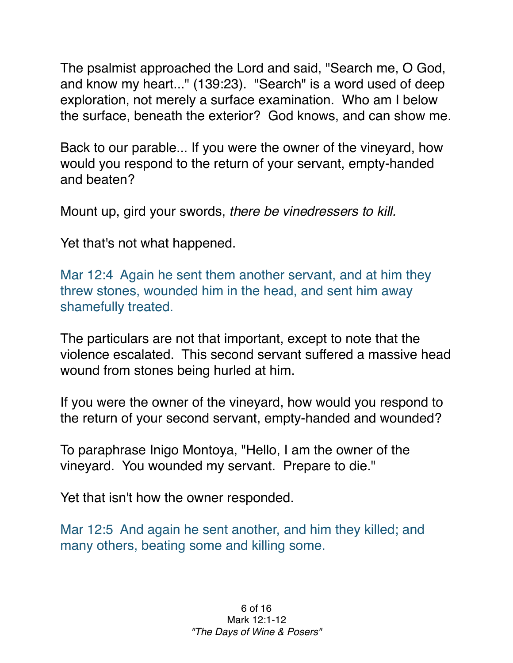The psalmist approached the Lord and said, "Search me, O God, and know my heart..." (139:23). "Search" is a word used of deep exploration, not merely a surface examination. Who am I below the surface, beneath the exterior? God knows, and can show me.

Back to our parable... If you were the owner of the vineyard, how would you respond to the return of your servant, empty-handed and beaten?

Mount up, gird your swords, *there be vinedressers to kill.*

Yet that's not what happened.

Mar 12:4 Again he sent them another servant, and at him they threw stones, wounded him in the head, and sent him away shamefully treated.

The particulars are not that important, except to note that the violence escalated. This second servant suffered a massive head wound from stones being hurled at him.

If you were the owner of the vineyard, how would you respond to the return of your second servant, empty-handed and wounded?

To paraphrase Inigo Montoya, "Hello, I am the owner of the vineyard. You wounded my servant. Prepare to die."

Yet that isn't how the owner responded.

Mar 12:5 And again he sent another, and him they killed; and many others, beating some and killing some.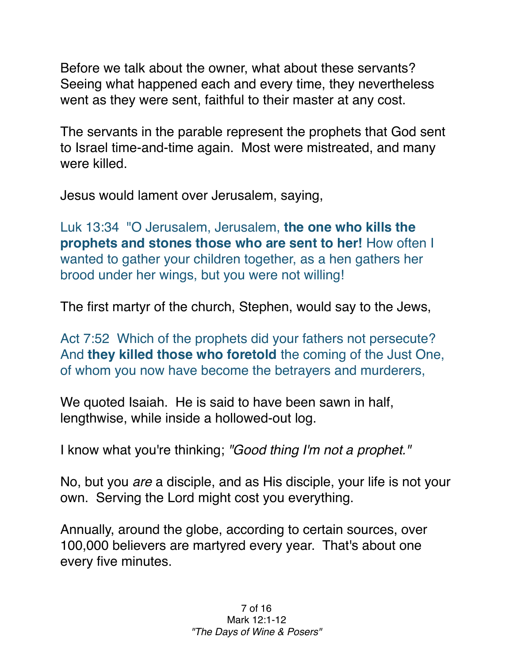Before we talk about the owner, what about these servants? Seeing what happened each and every time, they nevertheless went as they were sent, faithful to their master at any cost.

The servants in the parable represent the prophets that God sent to Israel time-and-time again. Most were mistreated, and many were killed.

Jesus would lament over Jerusalem, saying,

Luk 13:34 "O Jerusalem, Jerusalem, **the one who kills the prophets and stones those who are sent to her!** How often I wanted to gather your children together, as a hen gathers her brood under her wings, but you were not willing!

The first martyr of the church, Stephen, would say to the Jews,

Act 7:52 Which of the prophets did your fathers not persecute? And **they killed those who foretold** the coming of the Just One, of whom you now have become the betrayers and murderers,

We quoted Isaiah. He is said to have been sawn in half, lengthwise, while inside a hollowed-out log.

I know what you're thinking; *"Good thing I'm not a prophet."*

No, but you *are* a disciple, and as His disciple, your life is not your own. Serving the Lord might cost you everything.

Annually, around the globe, according to certain sources, over 100,000 believers are martyred every year. That's about one every five minutes.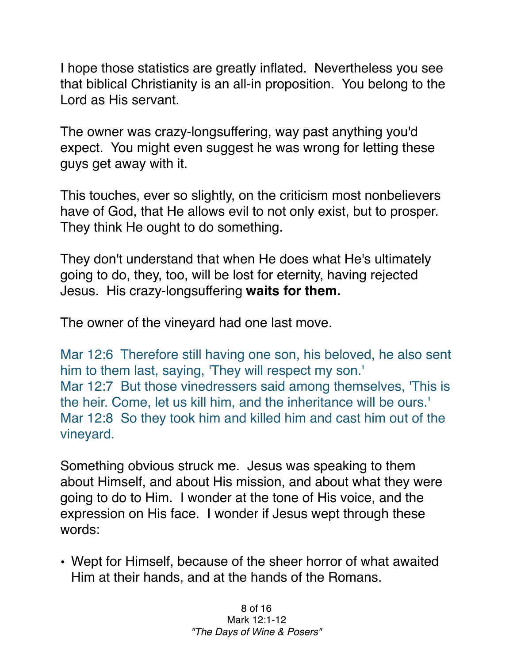I hope those statistics are greatly inflated. Nevertheless you see that biblical Christianity is an all-in proposition. You belong to the Lord as His servant.

The owner was crazy-longsuffering, way past anything you'd expect. You might even suggest he was wrong for letting these guys get away with it.

This touches, ever so slightly, on the criticism most nonbelievers have of God, that He allows evil to not only exist, but to prosper. They think He ought to do something.

They don't understand that when He does what He's ultimately going to do, they, too, will be lost for eternity, having rejected Jesus. His crazy-longsuffering **waits for them.**

The owner of the vineyard had one last move.

Mar 12:6 Therefore still having one son, his beloved, he also sent him to them last, saying, 'They will respect my son.' Mar 12:7 But those vinedressers said among themselves, 'This is the heir. Come, let us kill him, and the inheritance will be ours.' Mar 12:8 So they took him and killed him and cast him out of the vineyard.

Something obvious struck me. Jesus was speaking to them about Himself, and about His mission, and about what they were going to do to Him. I wonder at the tone of His voice, and the expression on His face. I wonder if Jesus wept through these words:

• Wept for Himself, because of the sheer horror of what awaited Him at their hands, and at the hands of the Romans.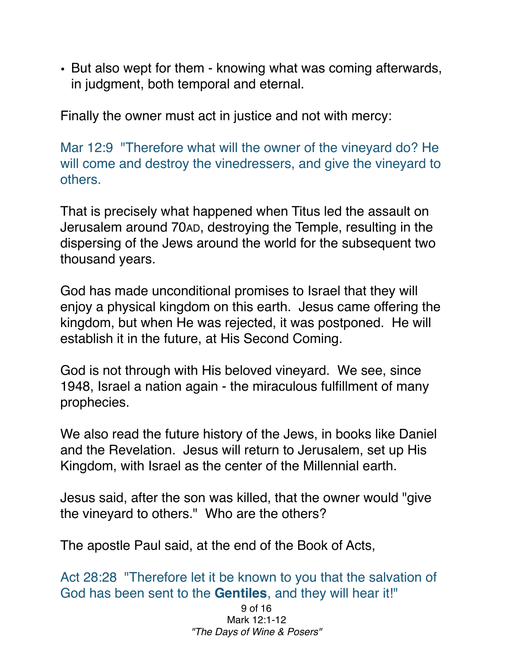• But also wept for them - knowing what was coming afterwards, in judgment, both temporal and eternal.

Finally the owner must act in justice and not with mercy:

Mar 12:9 "Therefore what will the owner of the vineyard do? He will come and destroy the vinedressers, and give the vineyard to others.

That is precisely what happened when Titus led the assault on Jerusalem around 70AD, destroying the Temple, resulting in the dispersing of the Jews around the world for the subsequent two thousand years.

God has made unconditional promises to Israel that they will enjoy a physical kingdom on this earth. Jesus came offering the kingdom, but when He was rejected, it was postponed. He will establish it in the future, at His Second Coming.

God is not through with His beloved vineyard. We see, since 1948, Israel a nation again - the miraculous fulfillment of many prophecies.

We also read the future history of the Jews, in books like Daniel and the Revelation. Jesus will return to Jerusalem, set up His Kingdom, with Israel as the center of the Millennial earth.

Jesus said, after the son was killed, that the owner would "give the vineyard to others." Who are the others?

The apostle Paul said, at the end of the Book of Acts,

Act 28:28 "Therefore let it be known to you that the salvation of God has been sent to the **Gentiles**, and they will hear it!"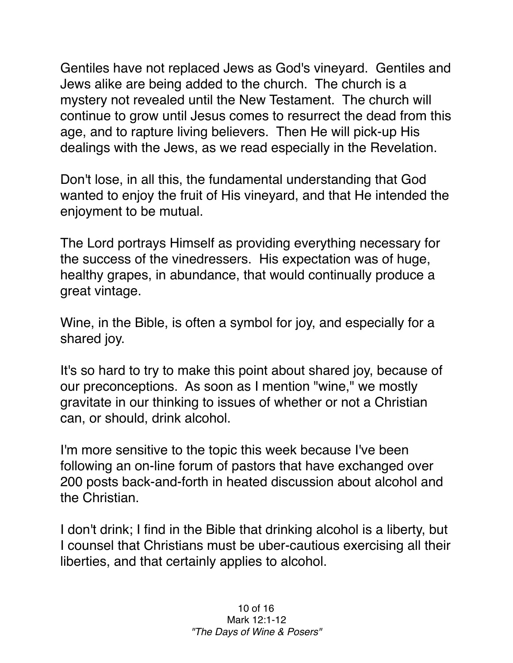Gentiles have not replaced Jews as God's vineyard. Gentiles and Jews alike are being added to the church. The church is a mystery not revealed until the New Testament. The church will continue to grow until Jesus comes to resurrect the dead from this age, and to rapture living believers. Then He will pick-up His dealings with the Jews, as we read especially in the Revelation.

Don't lose, in all this, the fundamental understanding that God wanted to enjoy the fruit of His vineyard, and that He intended the enjoyment to be mutual.

The Lord portrays Himself as providing everything necessary for the success of the vinedressers. His expectation was of huge, healthy grapes, in abundance, that would continually produce a great vintage.

Wine, in the Bible, is often a symbol for joy, and especially for a shared joy.

It's so hard to try to make this point about shared joy, because of our preconceptions. As soon as I mention "wine," we mostly gravitate in our thinking to issues of whether or not a Christian can, or should, drink alcohol.

I'm more sensitive to the topic this week because I've been following an on-line forum of pastors that have exchanged over 200 posts back-and-forth in heated discussion about alcohol and the Christian.

I don't drink; I find in the Bible that drinking alcohol is a liberty, but I counsel that Christians must be uber-cautious exercising all their liberties, and that certainly applies to alcohol.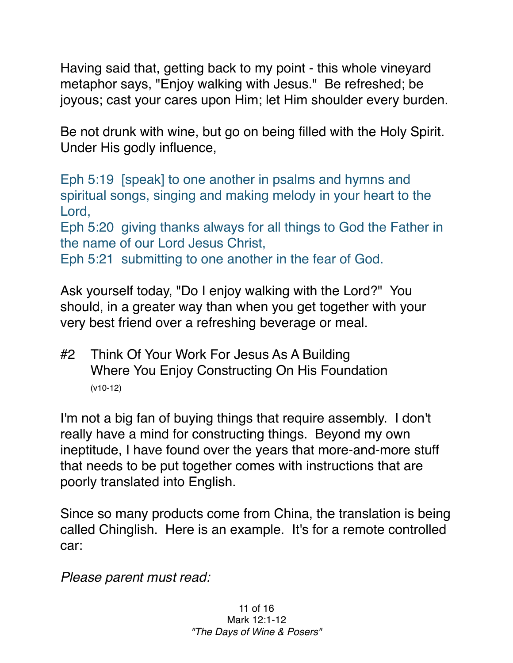Having said that, getting back to my point - this whole vineyard metaphor says, "Enjoy walking with Jesus." Be refreshed; be joyous; cast your cares upon Him; let Him shoulder every burden.

Be not drunk with wine, but go on being filled with the Holy Spirit. Under His godly influence,

Eph 5:19 [speak] to one another in psalms and hymns and spiritual songs, singing and making melody in your heart to the Lord,

Eph 5:20 giving thanks always for all things to God the Father in the name of our Lord Jesus Christ,

Eph 5:21 submitting to one another in the fear of God.

Ask yourself today, "Do I enjoy walking with the Lord?" You should, in a greater way than when you get together with your very best friend over a refreshing beverage or meal.

#2 Think Of Your Work For Jesus As A Building Where You Enjoy Constructing On His Foundation (v10-12)

I'm not a big fan of buying things that require assembly. I don't really have a mind for constructing things. Beyond my own ineptitude, I have found over the years that more-and-more stuff that needs to be put together comes with instructions that are poorly translated into English.

Since so many products come from China, the translation is being called Chinglish. Here is an example. It's for a remote controlled car:

*Please parent must read:*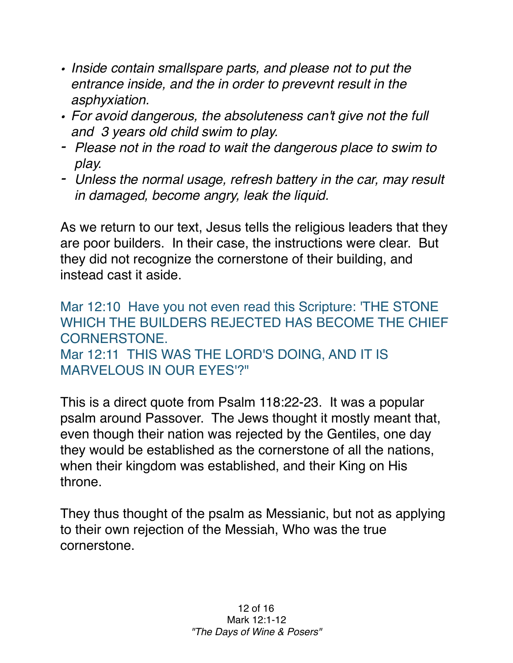- *• Inside contain smallspare parts, and please not to put the entrance inside, and the in order to prevevnt result in the asphyxiation.*
- *• For avoid dangerous, the absoluteness can't give not the full and 3 years old child swim to play.*
- *- Please not in the road to wait the dangerous place to swim to play.*
- *- Unless the normal usage, refresh battery in the car, may result in damaged, become angry, leak the liquid.*

As we return to our text, Jesus tells the religious leaders that they are poor builders. In their case, the instructions were clear. But they did not recognize the cornerstone of their building, and instead cast it aside.

Mar 12:10 Have you not even read this Scripture: 'THE STONE WHICH THE BUILDERS REJECTED HAS BECOME THE CHIFF CORNERSTONE. Mar 12:11 THIS WAS THE LORD'S DOING, AND IT IS MARVELOUS IN OUR EYES'?"

This is a direct quote from Psalm 118:22-23. It was a popular psalm around Passover. The Jews thought it mostly meant that, even though their nation was rejected by the Gentiles, one day they would be established as the cornerstone of all the nations, when their kingdom was established, and their King on His throne.

They thus thought of the psalm as Messianic, but not as applying to their own rejection of the Messiah, Who was the true cornerstone.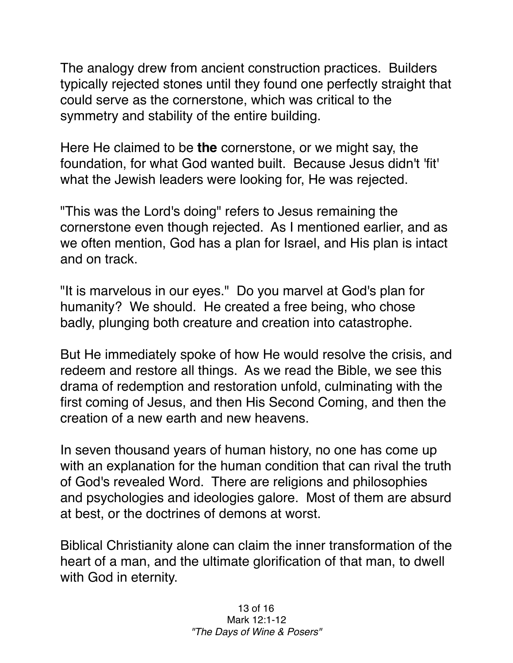The analogy drew from ancient construction practices. Builders typically rejected stones until they found one perfectly straight that could serve as the cornerstone, which was critical to the symmetry and stability of the entire building.

Here He claimed to be **the** cornerstone, or we might say, the foundation, for what God wanted built. Because Jesus didn't 'fit' what the Jewish leaders were looking for, He was rejected.

"This was the Lord's doing" refers to Jesus remaining the cornerstone even though rejected. As I mentioned earlier, and as we often mention, God has a plan for Israel, and His plan is intact and on track.

"It is marvelous in our eyes." Do you marvel at God's plan for humanity? We should. He created a free being, who chose badly, plunging both creature and creation into catastrophe.

But He immediately spoke of how He would resolve the crisis, and redeem and restore all things. As we read the Bible, we see this drama of redemption and restoration unfold, culminating with the first coming of Jesus, and then His Second Coming, and then the creation of a new earth and new heavens.

In seven thousand years of human history, no one has come up with an explanation for the human condition that can rival the truth of God's revealed Word. There are religions and philosophies and psychologies and ideologies galore. Most of them are absurd at best, or the doctrines of demons at worst.

Biblical Christianity alone can claim the inner transformation of the heart of a man, and the ultimate glorification of that man, to dwell with God in eternity.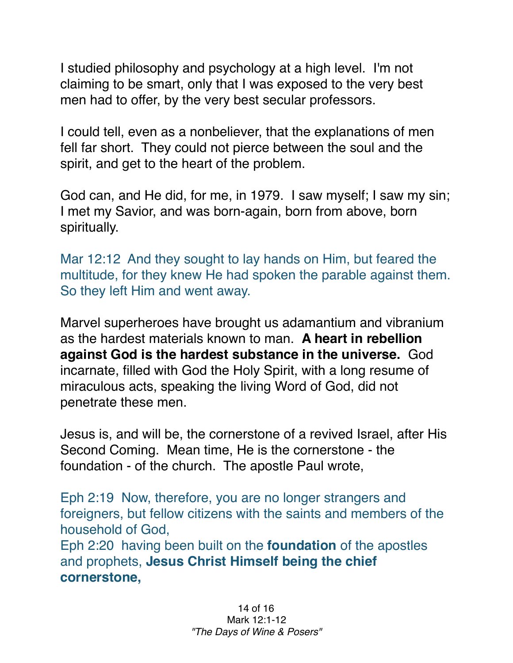I studied philosophy and psychology at a high level. I'm not claiming to be smart, only that I was exposed to the very best men had to offer, by the very best secular professors.

I could tell, even as a nonbeliever, that the explanations of men fell far short. They could not pierce between the soul and the spirit, and get to the heart of the problem.

God can, and He did, for me, in 1979. I saw myself; I saw my sin; I met my Savior, and was born-again, born from above, born spiritually.

Mar 12:12 And they sought to lay hands on Him, but feared the multitude, for they knew He had spoken the parable against them. So they left Him and went away.

Marvel superheroes have brought us adamantium and vibranium as the hardest materials known to man. **A heart in rebellion against God is the hardest substance in the universe.** God incarnate, filled with God the Holy Spirit, with a long resume of miraculous acts, speaking the living Word of God, did not penetrate these men.

Jesus is, and will be, the cornerstone of a revived Israel, after His Second Coming. Mean time, He is the cornerstone - the foundation - of the church. The apostle Paul wrote,

Eph 2:19 Now, therefore, you are no longer strangers and foreigners, but fellow citizens with the saints and members of the household of God, Eph 2:20 having been built on the **foundation** of the apostles

and prophets, **Jesus Christ Himself being the chief cornerstone,**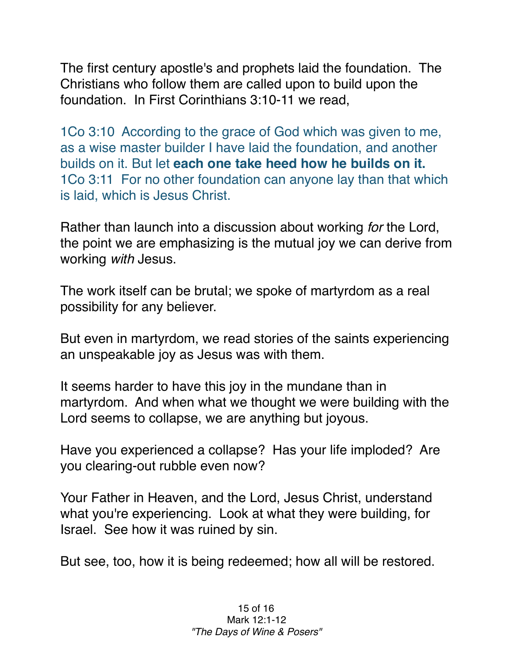The first century apostle's and prophets laid the foundation. The Christians who follow them are called upon to build upon the foundation. In First Corinthians 3:10-11 we read,

1Co 3:10 According to the grace of God which was given to me, as a wise master builder I have laid the foundation, and another builds on it. But let **each one take heed how he builds on it.** 1Co 3:11 For no other foundation can anyone lay than that which is laid, which is Jesus Christ.

Rather than launch into a discussion about working *for* the Lord, the point we are emphasizing is the mutual joy we can derive from working *with* Jesus.

The work itself can be brutal; we spoke of martyrdom as a real possibility for any believer.

But even in martyrdom, we read stories of the saints experiencing an unspeakable joy as Jesus was with them.

It seems harder to have this joy in the mundane than in martyrdom. And when what we thought we were building with the Lord seems to collapse, we are anything but joyous.

Have you experienced a collapse? Has your life imploded? Are you clearing-out rubble even now?

Your Father in Heaven, and the Lord, Jesus Christ, understand what you're experiencing. Look at what they were building, for Israel. See how it was ruined by sin.

But see, too, how it is being redeemed; how all will be restored.